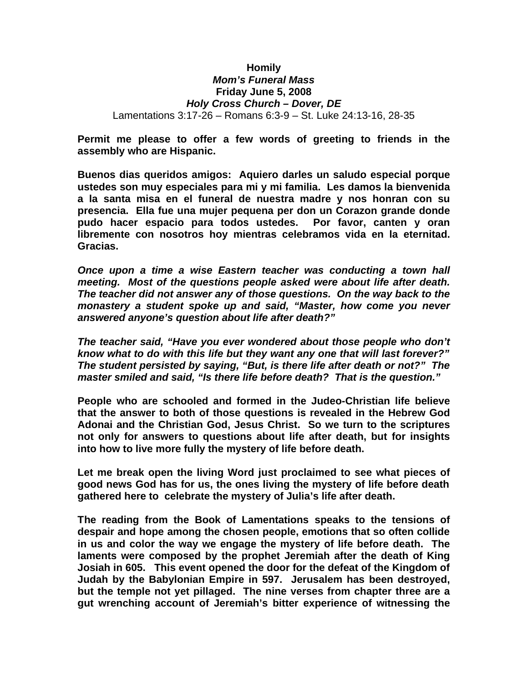## **Homily**  *Mom's Funeral Mass* **Friday June 5, 2008** *Holy Cross Church – Dover, DE* Lamentations 3:17-26 – Romans 6:3-9 – St. Luke 24:13-16, 28-35

**Permit me please to offer a few words of greeting to friends in the assembly who are Hispanic.**

**Buenos dias queridos amigos: Aquiero darles un saludo especial porque ustedes son muy especiales para mi y mi familia. Les damos la bienvenida a la santa misa en el funeral de nuestra madre y nos honran con su presencia. Ella fue una mujer pequena per don un Corazon grande donde pudo hacer espacio para todos ustedes. Por favor, canten y oran libremente con nosotros hoy mientras celebramos vida en la eternitad. Gracias.**

*Once upon a time a wise Eastern teacher was conducting a town hall meeting. Most of the questions people asked were about life after death. The teacher did not answer any of those questions. On the way back to the monastery a student spoke up and said, "Master, how come you never answered anyone's question about life after death?"*

*The teacher said, "Have you ever wondered about those people who don't know what to do with this life but they want any one that will last forever?" The student persisted by saying, "But, is there life after death or not?" The master smiled and said, "Is there life before death? That is the question."*

**People who are schooled and formed in the Judeo-Christian life believe that the answer to both of those questions is revealed in the Hebrew God Adonai and the Christian God, Jesus Christ. So we turn to the scriptures not only for answers to questions about life after death, but for insights into how to live more fully the mystery of life before death.**

**Let me break open the living Word just proclaimed to see what pieces of good news God has for us, the ones living the mystery of life before death gathered here to celebrate the mystery of Julia's life after death.** 

**The reading from the Book of Lamentations speaks to the tensions of despair and hope among the chosen people, emotions that so often collide in us and color the way we engage the mystery of life before death. The laments were composed by the prophet Jeremiah after the death of King Josiah in 605. This event opened the door for the defeat of the Kingdom of Judah by the Babylonian Empire in 597. Jerusalem has been destroyed, but the temple not yet pillaged. The nine verses from chapter three are a gut wrenching account of Jeremiah's bitter experience of witnessing the**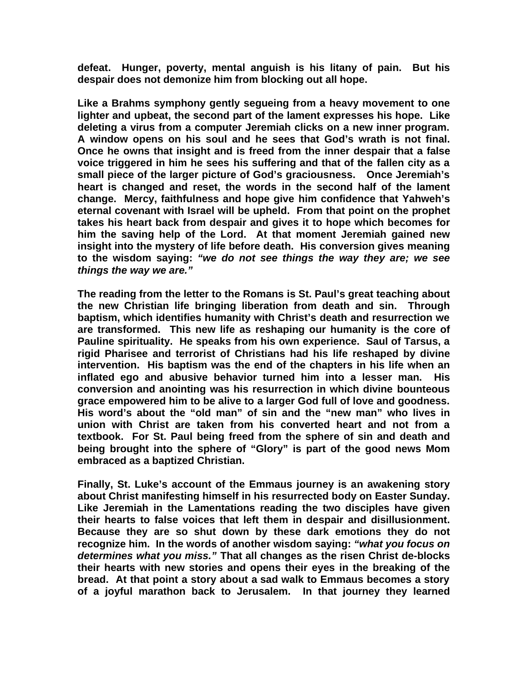**defeat. Hunger, poverty, mental anguish is his litany of pain. But his despair does not demonize him from blocking out all hope.** 

**Like a Brahms symphony gently segueing from a heavy movement to one lighter and upbeat, the second part of the lament expresses his hope. Like deleting a virus from a computer Jeremiah clicks on a new inner program. A window opens on his soul and he sees that God's wrath is not final. Once he owns that insight and is freed from the inner despair that a false voice triggered in him he sees his suffering and that of the fallen city as a small piece of the larger picture of God's graciousness. Once Jeremiah's heart is changed and reset, the words in the second half of the lament change. Mercy, faithfulness and hope give him confidence that Yahweh's eternal covenant with Israel will be upheld. From that point on the prophet takes his heart back from despair and gives it to hope which becomes for him the saving help of the Lord. At that moment Jeremiah gained new insight into the mystery of life before death. His conversion gives meaning to the wisdom saying:** *"we do not see things the way they are; we see things the way we are."* 

**The reading from the letter to the Romans is St. Paul's great teaching about the new Christian life bringing liberation from death and sin. Through baptism, which identifies humanity with Christ's death and resurrection we are transformed. This new life as reshaping our humanity is the core of Pauline spirituality. He speaks from his own experience. Saul of Tarsus, a rigid Pharisee and terrorist of Christians had his life reshaped by divine intervention. His baptism was the end of the chapters in his life when an inflated ego and abusive behavior turned him into a lesser man. His conversion and anointing was his resurrection in which divine bounteous grace empowered him to be alive to a larger God full of love and goodness. His word's about the "old man" of sin and the "new man" who lives in union with Christ are taken from his converted heart and not from a textbook. For St. Paul being freed from the sphere of sin and death and being brought into the sphere of "Glory" is part of the good news Mom embraced as a baptized Christian.**

**Finally, St. Luke's account of the Emmaus journey is an awakening story about Christ manifesting himself in his resurrected body on Easter Sunday. Like Jeremiah in the Lamentations reading the two disciples have given their hearts to false voices that left them in despair and disillusionment. Because they are so shut down by these dark emotions they do not recognize him. In the words of another wisdom saying:** *"what you focus on determines what you miss."* **That all changes as the risen Christ de-blocks their hearts with new stories and opens their eyes in the breaking of the bread. At that point a story about a sad walk to Emmaus becomes a story of a joyful marathon back to Jerusalem. In that journey they learned**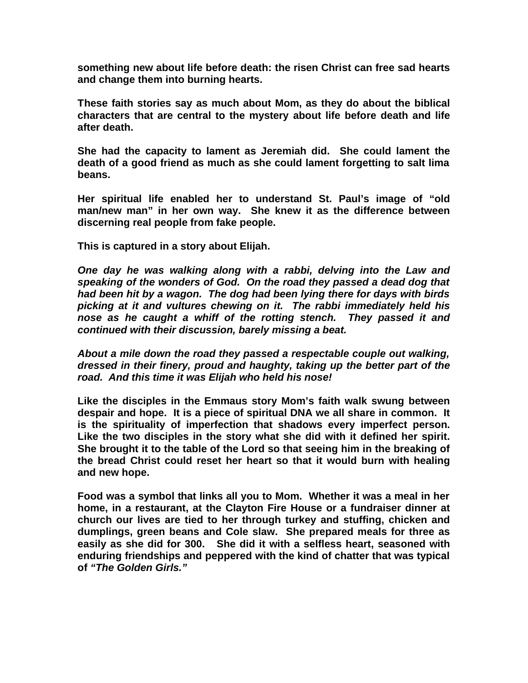**something new about life before death: the risen Christ can free sad hearts and change them into burning hearts.**

**These faith stories say as much about Mom, as they do about the biblical characters that are central to the mystery about life before death and life after death.** 

**She had the capacity to lament as Jeremiah did. She could lament the death of a good friend as much as she could lament forgetting to salt lima beans.**

**Her spiritual life enabled her to understand St. Paul's image of "old man/new man" in her own way. She knew it as the difference between discerning real people from fake people.** 

**This is captured in a story about Elijah.** 

*One day he was walking along with a rabbi, delving into the Law and speaking of the wonders of God. On the road they passed a dead dog that had been hit by a wagon. The dog had been lying there for days with birds picking at it and vultures chewing on it. The rabbi immediately held his nose as he caught a whiff of the rotting stench. They passed it and continued with their discussion, barely missing a beat.*

*About a mile down the road they passed a respectable couple out walking, dressed in their finery, proud and haughty, taking up the better part of the road. And this time it was Elijah who held his nose!*

**Like the disciples in the Emmaus story Mom's faith walk swung between despair and hope. It is a piece of spiritual DNA we all share in common. It is the spirituality of imperfection that shadows every imperfect person. Like the two disciples in the story what she did with it defined her spirit. She brought it to the table of the Lord so that seeing him in the breaking of the bread Christ could reset her heart so that it would burn with healing and new hope.** 

**Food was a symbol that links all you to Mom. Whether it was a meal in her home, in a restaurant, at the Clayton Fire House or a fundraiser dinner at church our lives are tied to her through turkey and stuffing, chicken and dumplings, green beans and Cole slaw. She prepared meals for three as easily as she did for 300. She did it with a selfless heart, seasoned with enduring friendships and peppered with the kind of chatter that was typical of** *"The Golden Girls."*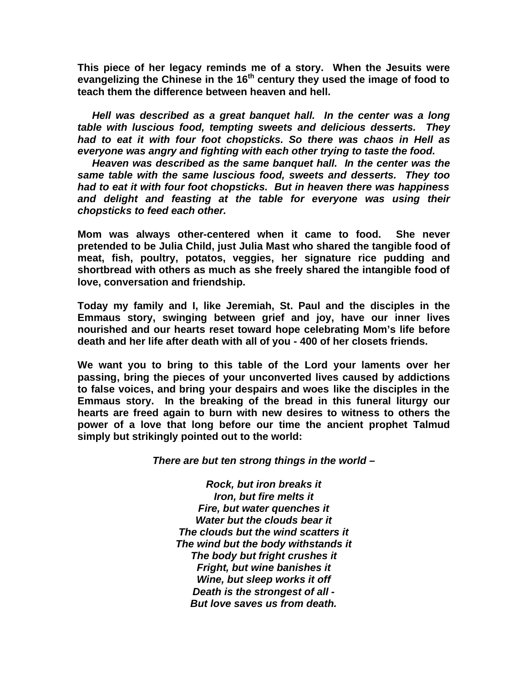**This piece of her legacy reminds me of a story. When the Jesuits were evangelizing the Chinese in the 16th century they used the image of food to teach them the difference between heaven and hell.**

 *Hell was described as a great banquet hall. In the center was a long table with luscious food, tempting sweets and delicious desserts. They had to eat it with four foot chopsticks. So there was chaos in Hell as everyone was angry and fighting with each other trying to taste the food.*

 *Heaven was described as the same banquet hall. In the center was the same table with the same luscious food, sweets and desserts. They too had to eat it with four foot chopsticks. But in heaven there was happiness and delight and feasting at the table for everyone was using their chopsticks to feed each other.*

**Mom was always other-centered when it came to food. She never pretended to be Julia Child, just Julia Mast who shared the tangible food of meat, fish, poultry, potatos, veggies, her signature rice pudding and shortbread with others as much as she freely shared the intangible food of love, conversation and friendship.**

**Today my family and I, like Jeremiah, St. Paul and the disciples in the Emmaus story, swinging between grief and joy, have our inner lives nourished and our hearts reset toward hope celebrating Mom's life before death and her life after death with all of you - 400 of her closets friends.** 

**We want you to bring to this table of the Lord your laments over her passing, bring the pieces of your unconverted lives caused by addictions to false voices, and bring your despairs and woes like the disciples in the Emmaus story. In the breaking of the bread in this funeral liturgy our hearts are freed again to burn with new desires to witness to others the power of a love that long before our time the ancient prophet Talmud simply but strikingly pointed out to the world:** 

*There are but ten strong things in the world –*

*Rock, but iron breaks it Iron, but fire melts it Fire, but water quenches it Water but the clouds bear it The clouds but the wind scatters it The wind but the body withstands it The body but fright crushes it Fright, but wine banishes it Wine, but sleep works it off Death is the strongest of all - But love saves us from death.*